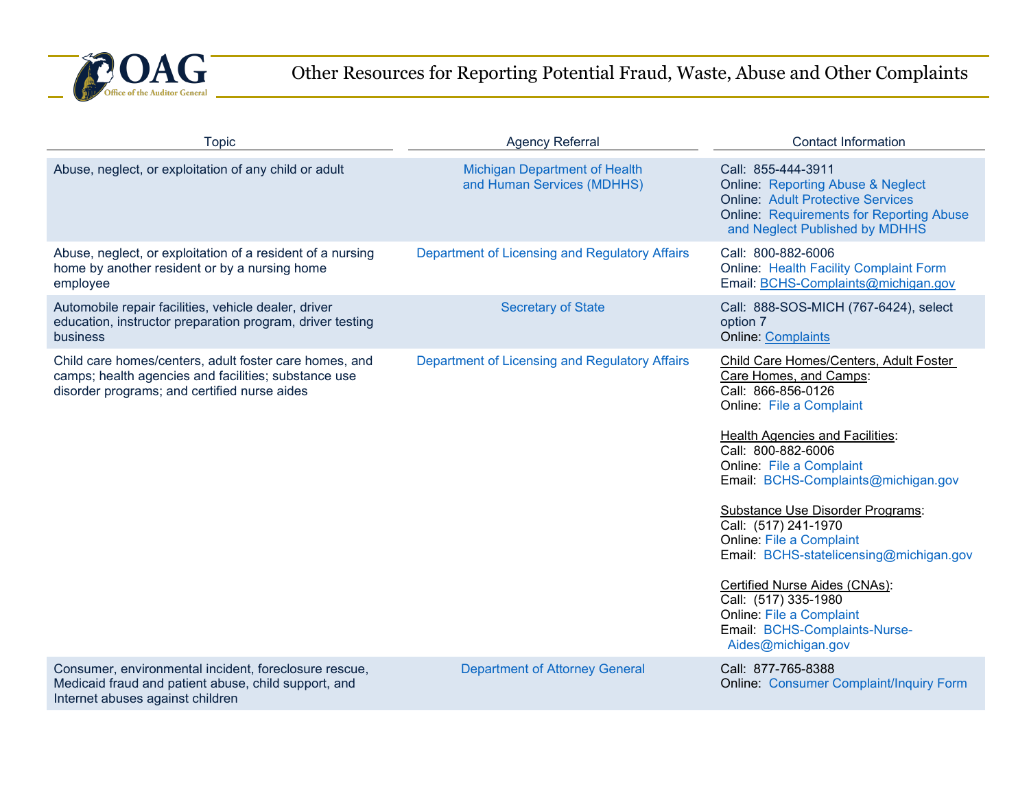

## Other Resources for Reporting Potential Fraud, Waste, Abuse and Other Complaints

| <b>Topic</b>                                                                                                                                                   | <b>Agency Referral</b>                                             | <b>Contact Information</b>                                                                                                                                                                                                                                                                                                                                                                                                                                                                                                                         |
|----------------------------------------------------------------------------------------------------------------------------------------------------------------|--------------------------------------------------------------------|----------------------------------------------------------------------------------------------------------------------------------------------------------------------------------------------------------------------------------------------------------------------------------------------------------------------------------------------------------------------------------------------------------------------------------------------------------------------------------------------------------------------------------------------------|
| Abuse, neglect, or exploitation of any child or adult                                                                                                          | <b>Michigan Department of Health</b><br>and Human Services (MDHHS) | Call: 855-444-3911<br><b>Online: Reporting Abuse &amp; Neglect</b><br><b>Online: Adult Protective Services</b><br><b>Online: Requirements for Reporting Abuse</b><br>and Neglect Published by MDHHS                                                                                                                                                                                                                                                                                                                                                |
| Abuse, neglect, or exploitation of a resident of a nursing<br>home by another resident or by a nursing home<br>employee                                        | Department of Licensing and Regulatory Affairs                     | Call: 800-882-6006<br><b>Online: Health Facility Complaint Form</b><br>Email: BCHS-Complaints@michigan.gov                                                                                                                                                                                                                                                                                                                                                                                                                                         |
| Automobile repair facilities, vehicle dealer, driver<br>education, instructor preparation program, driver testing<br>business                                  | <b>Secretary of State</b>                                          | Call: 888-SOS-MICH (767-6424), select<br>option 7<br><b>Online: Complaints</b>                                                                                                                                                                                                                                                                                                                                                                                                                                                                     |
| Child care homes/centers, adult foster care homes, and<br>camps; health agencies and facilities; substance use<br>disorder programs; and certified nurse aides | Department of Licensing and Regulatory Affairs                     | Child Care Homes/Centers, Adult Foster<br>Care Homes, and Camps:<br>Call: 866-856-0126<br>Online: File a Complaint<br><b>Health Agencies and Facilities:</b><br>Call: 800-882-6006<br>Online: File a Complaint<br>Email: BCHS-Complaints@michigan.gov<br>Substance Use Disorder Programs:<br>Call: (517) 241-1970<br><b>Online: File a Complaint</b><br>Email: BCHS-statelicensing@michigan.gov<br>Certified Nurse Aides (CNAs):<br>Call: (517) 335-1980<br><b>Online: File a Complaint</b><br>Email: BCHS-Complaints-Nurse-<br>Aides@michigan.gov |
| Consumer, environmental incident, foreclosure rescue,<br>Medicaid fraud and patient abuse, child support, and<br>Internet abuses against children              | <b>Department of Attorney General</b>                              | Call: 877-765-8388<br><b>Online: Consumer Complaint/Inquiry Form</b>                                                                                                                                                                                                                                                                                                                                                                                                                                                                               |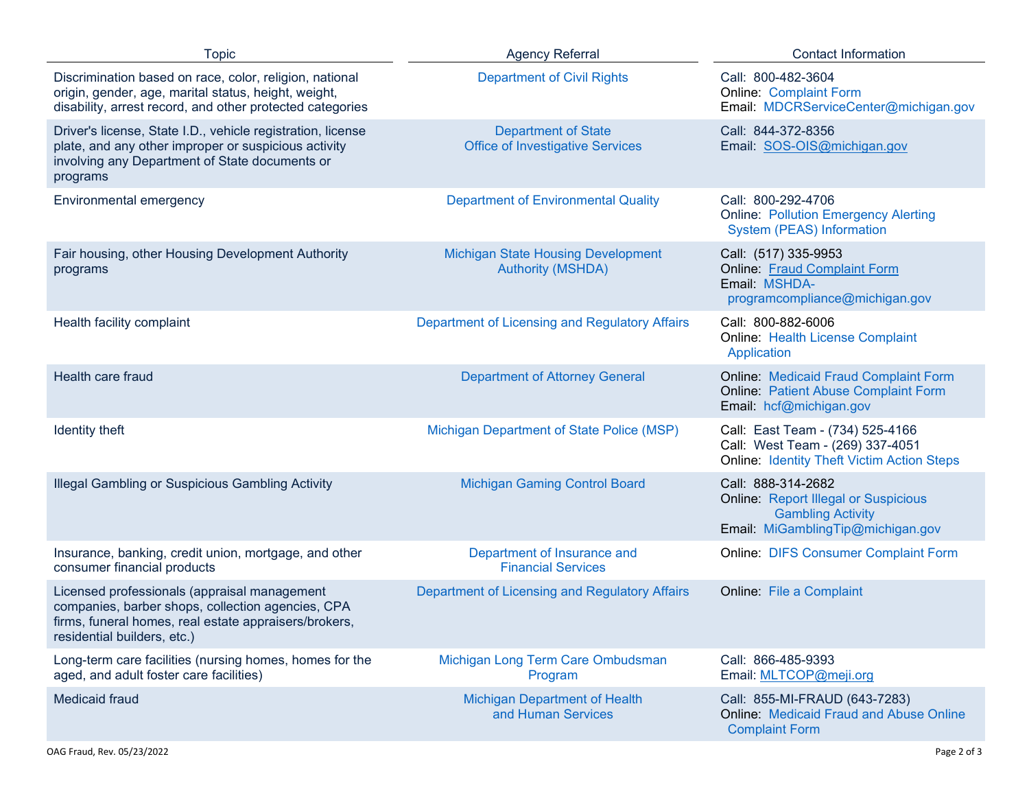| <b>Topic</b>                                                                                                                                                                              | <b>Agency Referral</b>                                                | <b>Contact Information</b>                                                                                                         |
|-------------------------------------------------------------------------------------------------------------------------------------------------------------------------------------------|-----------------------------------------------------------------------|------------------------------------------------------------------------------------------------------------------------------------|
| Discrimination based on race, color, religion, national<br>origin, gender, age, marital status, height, weight,<br>disability, arrest record, and other protected categories              | <b>Department of Civil Rights</b>                                     | Call: 800-482-3604<br><b>Online: Complaint Form</b><br>Email: MDCRServiceCenter@michigan.gov                                       |
| Driver's license, State I.D., vehicle registration, license<br>plate, and any other improper or suspicious activity<br>involving any Department of State documents or<br>programs         | <b>Department of State</b><br><b>Office of Investigative Services</b> | Call: 844-372-8356<br>Email: SOS-OIS@michigan.gov                                                                                  |
| Environmental emergency                                                                                                                                                                   | <b>Department of Environmental Quality</b>                            | Call: 800-292-4706<br><b>Online: Pollution Emergency Alerting</b><br><b>System (PEAS) Information</b>                              |
| Fair housing, other Housing Development Authority<br>programs                                                                                                                             | <b>Michigan State Housing Development</b><br><b>Authority (MSHDA)</b> | Call: (517) 335-9953<br><b>Online: Fraud Complaint Form</b><br>Email: MSHDA-<br>programcompliance@michigan.gov                     |
| Health facility complaint                                                                                                                                                                 | Department of Licensing and Regulatory Affairs                        | Call: 800-882-6006<br><b>Online: Health License Complaint</b><br>Application                                                       |
| Health care fraud                                                                                                                                                                         | <b>Department of Attorney General</b>                                 | <b>Online: Medicaid Fraud Complaint Form</b><br><b>Online: Patient Abuse Complaint Form</b><br>Email: hcf@michigan.gov             |
| Identity theft                                                                                                                                                                            | Michigan Department of State Police (MSP)                             | Call: East Team - (734) 525-4166<br>Call: West Team - (269) 337-4051<br><b>Online: Identity Theft Victim Action Steps</b>          |
| Illegal Gambling or Suspicious Gambling Activity                                                                                                                                          | <b>Michigan Gaming Control Board</b>                                  | Call: 888-314-2682<br><b>Online: Report Illegal or Suspicious</b><br><b>Gambling Activity</b><br>Email: MiGamblingTip@michigan.gov |
| Insurance, banking, credit union, mortgage, and other<br>consumer financial products                                                                                                      | Department of Insurance and<br><b>Financial Services</b>              | <b>Online: DIFS Consumer Complaint Form</b>                                                                                        |
| Licensed professionals (appraisal management<br>companies, barber shops, collection agencies, CPA<br>firms, funeral homes, real estate appraisers/brokers,<br>residential builders, etc.) | Department of Licensing and Regulatory Affairs                        | Online: File a Complaint                                                                                                           |
| Long-term care facilities (nursing homes, homes for the<br>aged, and adult foster care facilities)                                                                                        | Michigan Long Term Care Ombudsman<br>Program                          | Call: 866-485-9393<br>Email: MLTCOP@meji.org                                                                                       |
| Medicaid fraud                                                                                                                                                                            | <b>Michigan Department of Health</b><br>and Human Services            | Call: 855-MI-FRAUD (643-7283)<br><b>Online: Medicaid Fraud and Abuse Online</b><br><b>Complaint Form</b>                           |